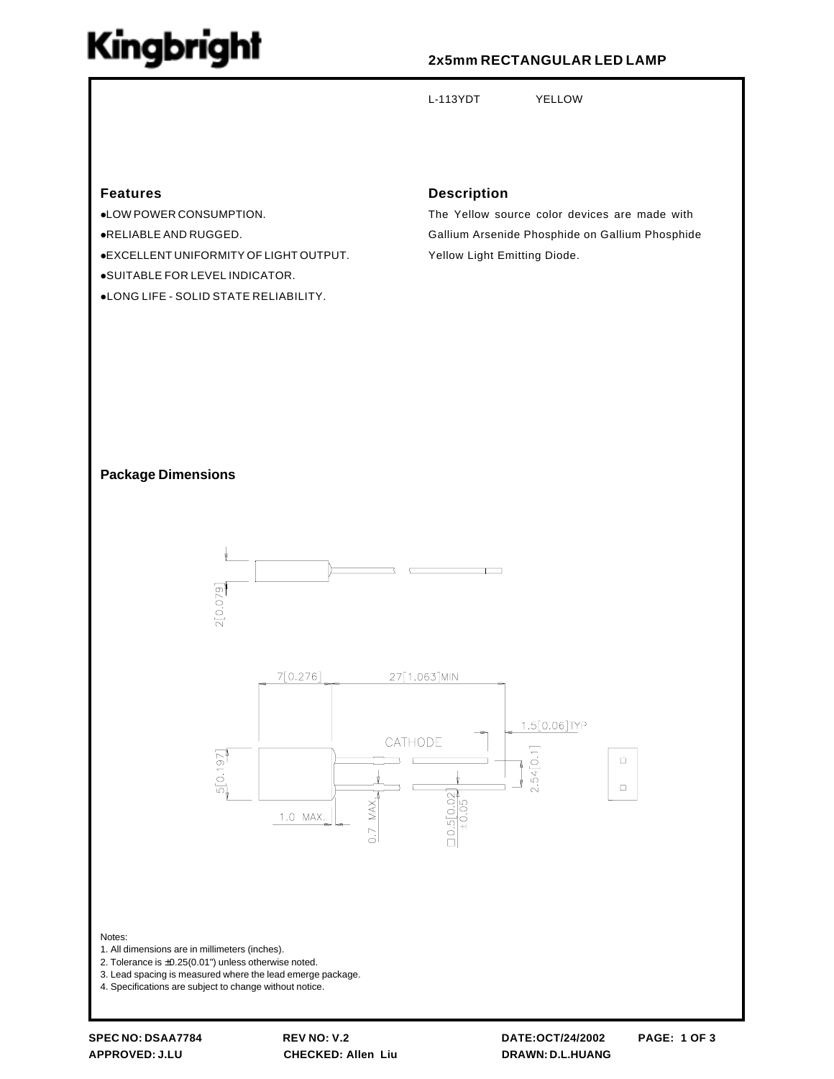# Kingbright

## **2x5mm RECTANGULAR LED LAMP**

L-113YDT YELLOW

**Features**

!LOW POWER CONSUMPTION. !RELIABLE AND RUGGED. !EXCELLENT UNIFORMITY OF LIGHT OUTPUT. !SUITABLE FOR LEVEL INDICATOR. !LONG LIFE - SOLID STATE RELIABILITY.

### **Description**

The Yellow source color devices are made with Gallium Arsenide Phosphide on Gallium Phosphide Yellow Light Emitting Diode.

#### **Package Dimensions**





Notes:

- 1. All dimensions are in millimeters (inches).
- 2. Tolerance is  $\pm 0.25(0.01")$  unless otherwise noted.
- 3. Lead spacing is measured where the lead emerge package.
- 4. Specifications are subject to change without notice.

**APPROVED: J.LU CHECKED: Allen Liu DRAWN: D.L.HUANG**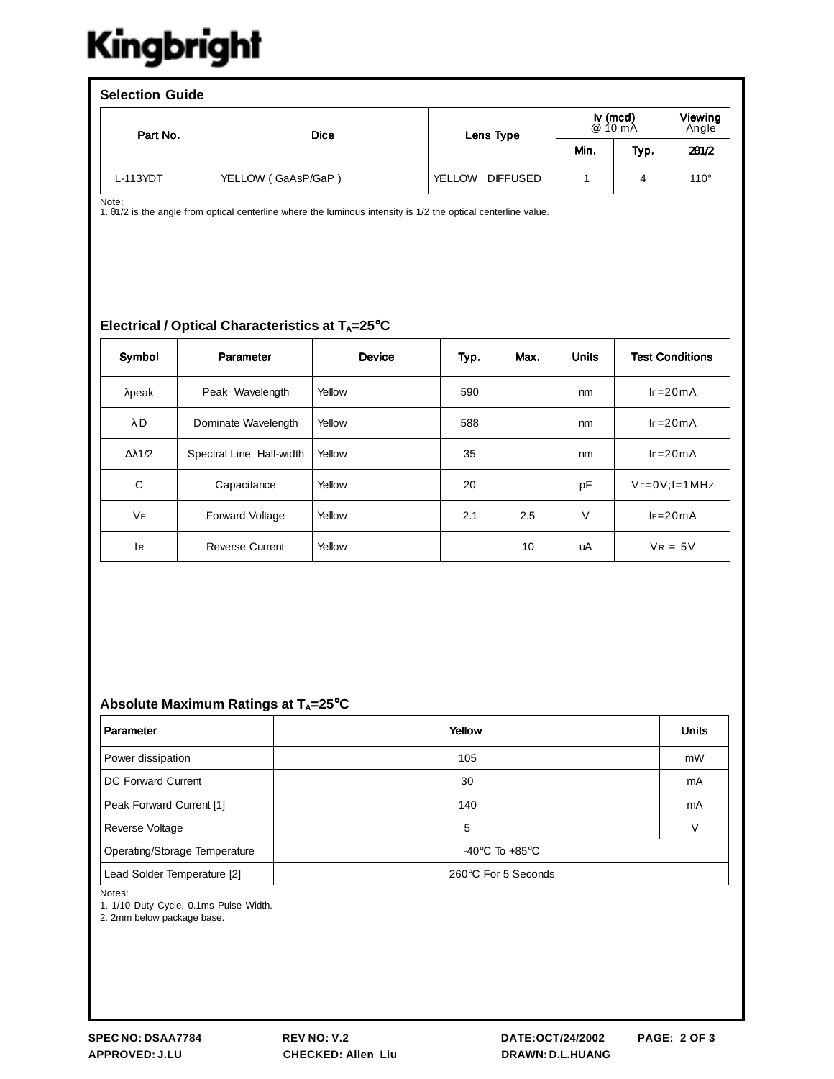# Kingbright

| <b>Selection Guide</b> |                    |                                  |                     |      |                  |  |  |  |  |
|------------------------|--------------------|----------------------------------|---------------------|------|------------------|--|--|--|--|
| Part No.               | <b>Dice</b>        | Lens Type                        | lv (mcd)<br>@ 10 mA |      | Viewing<br>Angle |  |  |  |  |
|                        |                    |                                  | Min.                | Typ. | 201/2            |  |  |  |  |
| L-113YDT               | YELLOW (GaAsP/GaP) | <b>YELLOW</b><br><b>DIFFUSED</b> |                     | 4    | $110^\circ$      |  |  |  |  |

Note:<br>1. 01/2 is the angle from optical centerline where the luminous intensity is 1/2 the optical centerline value.

### Electrical / Optical Characteristics at T<sub>A</sub>=25°C

| Symbol               | Parameter                | <b>Device</b> | Typ. | Max. | <b>Units</b> | <b>Test Conditions</b> |
|----------------------|--------------------------|---------------|------|------|--------------|------------------------|
| $λ$ peak             | Peak Wavelength          | Yellow        | 590  |      | nm           | $I = 20mA$             |
| $\lambda$ D          | Dominate Wavelength      | Yellow        | 588  |      | nm           | $I = 20mA$             |
| $\Delta \lambda$ 1/2 | Spectral Line Half-width | Yellow        | 35   |      | nm           | $IF = 20mA$            |
| С                    | Capacitance              | Yellow        | 20   |      | pF           | $V_F=0V; f=1 MHz$      |
| <b>VF</b>            | <b>Forward Voltage</b>   | Yellow        | 2.1  | 2.5  | V            | $IF = 20mA$            |
| 1 <sub>R</sub>       | <b>Reverse Current</b>   | Yellow        |      | 10   | uA           | $V_R = 5V$             |

### Absolute Maximum Ratings at T<sub>A</sub>=25°C

| Parameter                     | Yellow                               | <b>Units</b> |
|-------------------------------|--------------------------------------|--------------|
| Power dissipation             | 105                                  | mW           |
| <b>DC Forward Current</b>     | 30                                   | mA           |
| Peak Forward Current [1]      | 140                                  | mA           |
| Reverse Voltage               | 5                                    |              |
| Operating/Storage Temperature | -40 $^{\circ}$ C To +85 $^{\circ}$ C |              |
| Lead Solder Temperature [2]   | 260°C For 5 Seconds                  |              |

Notes:

1. 1/10 Duty Cycle, 0.1ms Pulse Width.

2. 2mm below package base.